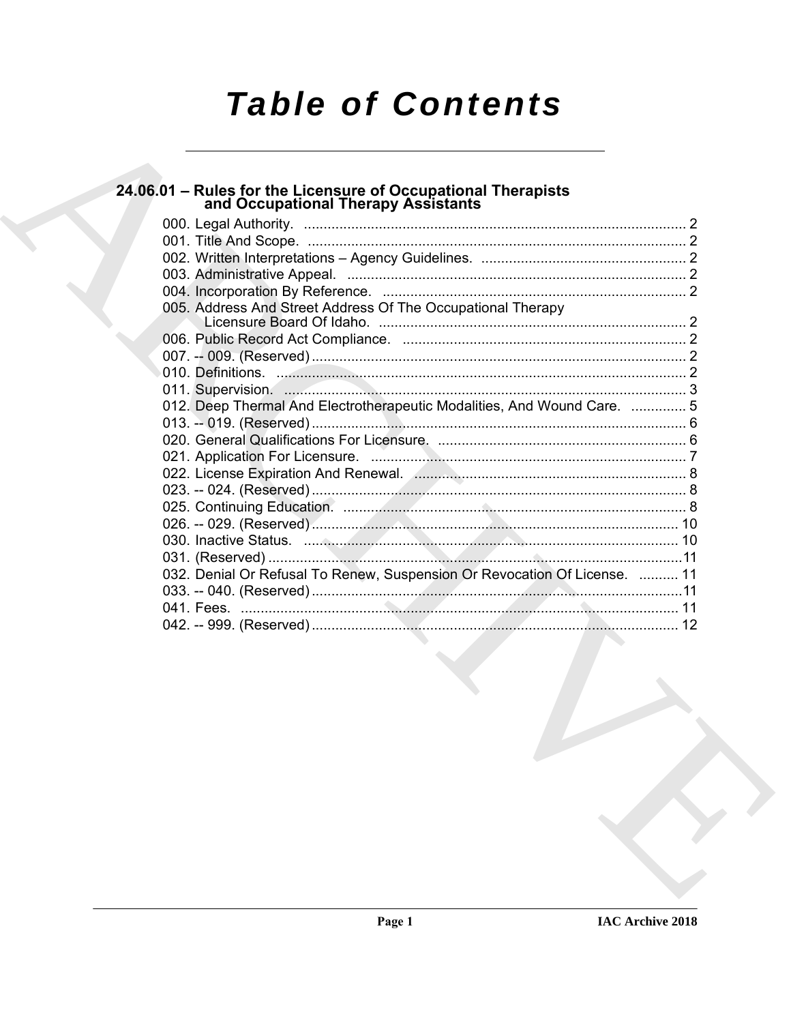# **Table of Contents**

# 24.06.01 - Rules for the Licensure of Occupational Therapists<br>and Occupational Therapy Assistants

| 012. Deep Thermal And Electrotherapeutic Modalities, And Wound Care.  5   |
|---------------------------------------------------------------------------|
|                                                                           |
|                                                                           |
|                                                                           |
|                                                                           |
|                                                                           |
|                                                                           |
|                                                                           |
|                                                                           |
|                                                                           |
| 032. Denial Or Refusal To Renew, Suspension Or Revocation Of License.  11 |
|                                                                           |
|                                                                           |
|                                                                           |
|                                                                           |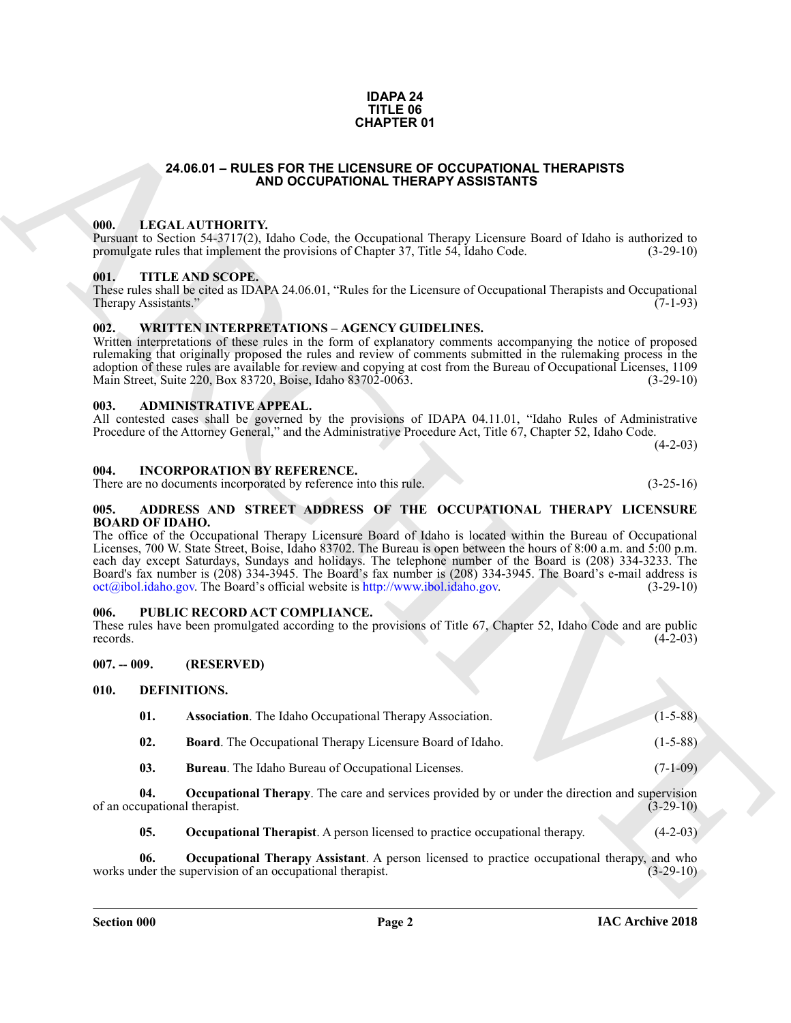#### **IDAPA 24 TITLE 06 CHAPTER 01**

## **24.06.01 – RULES FOR THE LICENSURE OF OCCUPATIONAL THERAPISTS AND OCCUPATIONAL THERAPY ASSISTANTS**

### <span id="page-1-20"></span><span id="page-1-1"></span><span id="page-1-0"></span>**000. LEGAL AUTHORITY.**

Pursuant to Section 54-3717(2), Idaho Code, the Occupational Therapy Licensure Board of Idaho is authorized to promulgate rules that implement the provisions of Chapter 37, Title 54, Idaho Code. (3-29-10)

#### <span id="page-1-22"></span><span id="page-1-2"></span>**001. TITLE AND SCOPE.**

These rules shall be cited as IDAPA 24.06.01, "Rules for the Licensure of Occupational Therapists and Occupational Therapy Assistants." (7-1-93)

#### <span id="page-1-23"></span><span id="page-1-3"></span>**002. WRITTEN INTERPRETATIONS – AGENCY GUIDELINES.**

Written interpretations of these rules in the form of explanatory comments accompanying the notice of proposed rulemaking that originally proposed the rules and review of comments submitted in the rulemaking process in the adoption of these rules are available for review and copying at cost from the Bureau of Occupational Licenses, 1109<br>Main Street, Suite 220, Box 83720, Boise, Idaho 83702-0063. (3-29-10) Main Street, Suite 220, Box 83720, Boise, Idaho 83702-0063.

### <span id="page-1-11"></span><span id="page-1-4"></span>**003. ADMINISTRATIVE APPEAL.**

All contested cases shall be governed by the provisions of IDAPA 04.11.01, "Idaho Rules of Administrative Procedure of the Attorney General," and the Administrative Procedure Act, Title 67, Chapter 52, Idaho Code.

<span id="page-1-19"></span> $(4-2-03)$ 

#### <span id="page-1-5"></span>**004. INCORPORATION BY REFERENCE.**

There are no documents incorporated by reference into this rule. (3-25-16)

### <span id="page-1-10"></span><span id="page-1-6"></span>**005. ADDRESS AND STREET ADDRESS OF THE OCCUPATIONAL THERAPY LICENSURE BOARD OF IDAHO.**

**CHAPTER 01**<br> **CHAPTER ON THE LAND COLUMPIONER CONSUMERATIONS.** THERMPHONE THE CAPITOR<br> **ARC[HI](http://www.ibol.idaho.gov)VE CONSUMERATION ALTERNATY ASSISS TANTS**<br> **CHAPTER ON THE AND SCOPE CONSUMERATION ALTERNATY ASSISS TANTS**<br> **CHAPTER ON THE AND** The office of the Occupational Therapy Licensure Board of Idaho is located within the Bureau of Occupational Licenses, 700 W. State Street, Boise, Idaho 83702. The Bureau is open between the hours of 8:00 a.m. and 5:00 p.m. each day except Saturdays, Sundays and holidays. The telephone number of the Board is (208) 334-3233. The Board's fax number is (208) 334-3945. The Board's fax number is (208) 334-3945. The Board's e-mail address is oct@ibol.idaho.gov. The Board's official website is http://www.ibol.idaho.gov. (3-29-10)

#### <span id="page-1-21"></span><span id="page-1-7"></span>**006. PUBLIC RECORD ACT COMPLIANCE.**

These rules have been promulgated according to the provisions of Title 67, Chapter 52, Idaho Code and are public records.  $(4-2-03)$ 

#### <span id="page-1-8"></span>**007. -- 009. (RESERVED)**

#### <span id="page-1-9"></span>**010. DEFINITIONS.**

<span id="page-1-14"></span><span id="page-1-13"></span><span id="page-1-12"></span>

| 01. | <b>Association.</b> The Idaho Occupational Therapy Association.  | $(1-5-88)$ |
|-----|------------------------------------------------------------------|------------|
| 02. | <b>Board.</b> The Occupational Therapy Licensure Board of Idaho. | $(1-5-88)$ |
|     |                                                                  |            |

<span id="page-1-17"></span><span id="page-1-15"></span>**03. Bureau**. The Idaho Bureau of Occupational Licenses. (7-1-09)

**04. Occupational Therapy**. The care and services provided by or under the direction and supervision of an occupational therapist.  $(3-29-10)$ 

<span id="page-1-18"></span><span id="page-1-16"></span>**05. Occupational Therapist**. A person licensed to practice occupational therapy. (4-2-03)

**06. Occupational Therapy Assistant**. A person licensed to practice occupational therapy, and who works under the supervision of an occupational therapist. (3-29-10)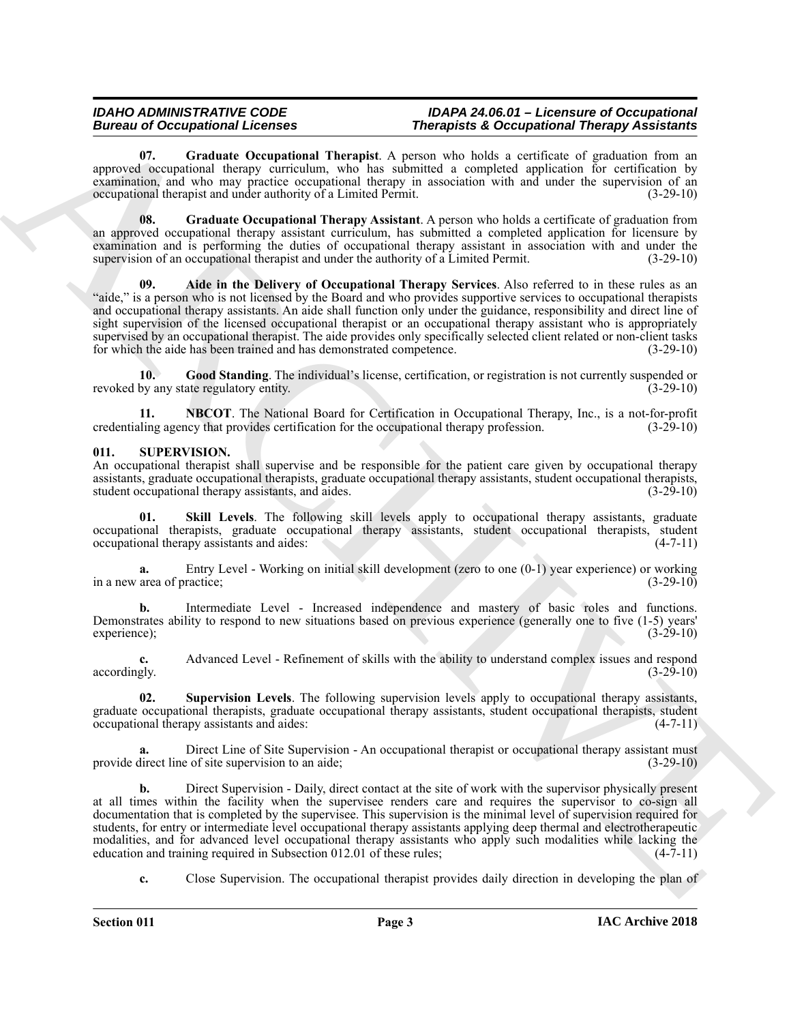<span id="page-2-3"></span>**07. Graduate Occupational Therapist**. A person who holds a certificate of graduation from an approved occupational therapy curriculum, who has submitted a completed application for certification by examination, and who may practice occupational therapy in association with and under the supervision of an occupational therapist and under authority of a Limited Permit. (3-29-10)

<span id="page-2-4"></span>**08. Graduate Occupational Therapy Assistant**. A person who holds a certificate of graduation from an approved occupational therapy assistant curriculum, has submitted a completed application for licensure by examination and is performing the duties of occupational therapy assistant in association with and under the supervision of an occupational therapist and under the authority of a Limited Permit. (3-29-10)

<span id="page-2-1"></span>**09. Aide in the Delivery of Occupational Therapy Services**. Also referred to in these rules as an "aide," is a person who is not licensed by the Board and who provides supportive services to occupational therapists and occupational therapy assistants. An aide shall function only under the guidance, responsibility and direct line of sight supervision of the licensed occupational therapist or an occupational therapy assistant who is appropriately supervised by an occupational therapist. The aide provides only specifically selected client related or non-client tasks for which the aide has been trained and has demonstrated competence. (3-29-10)

<span id="page-2-2"></span>**10. Good Standing**. The individual's license, certification, or registration is not currently suspended or revoked by any state regulatory entity. (3-29-10)

<span id="page-2-5"></span>**11. NBCOT**. The National Board for Certification in Occupational Therapy, Inc., is a not-for-profit ling agency that provides certification for the occupational therapy profession. (3-29-10) credentialing agency that provides certification for the occupational therapy profession.

### <span id="page-2-6"></span><span id="page-2-0"></span>**011. SUPERVISION.**

An occupational therapist shall supervise and be responsible for the patient care given by occupational therapy assistants, graduate occupational therapists, graduate occupational therapy assistants, student occupational therapists, student occupational therapy assistants, and aides. (3-29-10)

<span id="page-2-7"></span>**Skill Levels**. The following skill levels apply to occupational therapy assistants, graduate occupational therapists, graduate occupational therapy assistants, student occupational therapists, student occupational therapy assistants and aides:

**a.** Entry Level - Working on initial skill development (zero to one  $(0-1)$ ) year experience) or working in a new area of practice; (3-29-10)

**b.** Intermediate Level - Increased independence and mastery of basic roles and functions. Demonstrates ability to respond to new situations based on previous experience (generally one to five (1-5) years' experience); (3-29-10)

**c.** Advanced Level - Refinement of skills with the ability to understand complex issues and respond accordingly.  $(3-29-10)$  $\alpha$  accordingly.  $(3-29-10)$ 

<span id="page-2-8"></span>**02. Supervision Levels**. The following supervision levels apply to occupational therapy assistants, graduate occupational therapists, graduate occupational therapy assistants, student occupational therapists, student occupational therapy assistants and aides: (4-7-11)

**a.** Direct Line of Site Supervision - An occupational therapist or occupational therapy assistant must provide direct line of site supervision to an aide; (3-29-10)

Borrow of Comparison Reservoir and Hermita A proposes Monday Photograph and the proposes of Comparison Reservoir Comparison Reservoir Comparison Reservoir Comparison Reservoir Comparison Reservoir Comparison Reservoir Com **b.** Direct Supervision - Daily, direct contact at the site of work with the supervisor physically present at all times within the facility when the supervisee renders care and requires the supervisor to co-sign all documentation that is completed by the supervisee. This supervision is the minimal level of supervision required for students, for entry or intermediate level occupational therapy assistants applying deep thermal and electrotherapeutic modalities, and for advanced level occupational therapy assistants who apply such modalities while lacking the education and training required in Subsection 012.01 of these rules; (4-7-11) education and training required in Subsection 012.01 of these rules;

**c.** Close Supervision. The occupational therapist provides daily direction in developing the plan of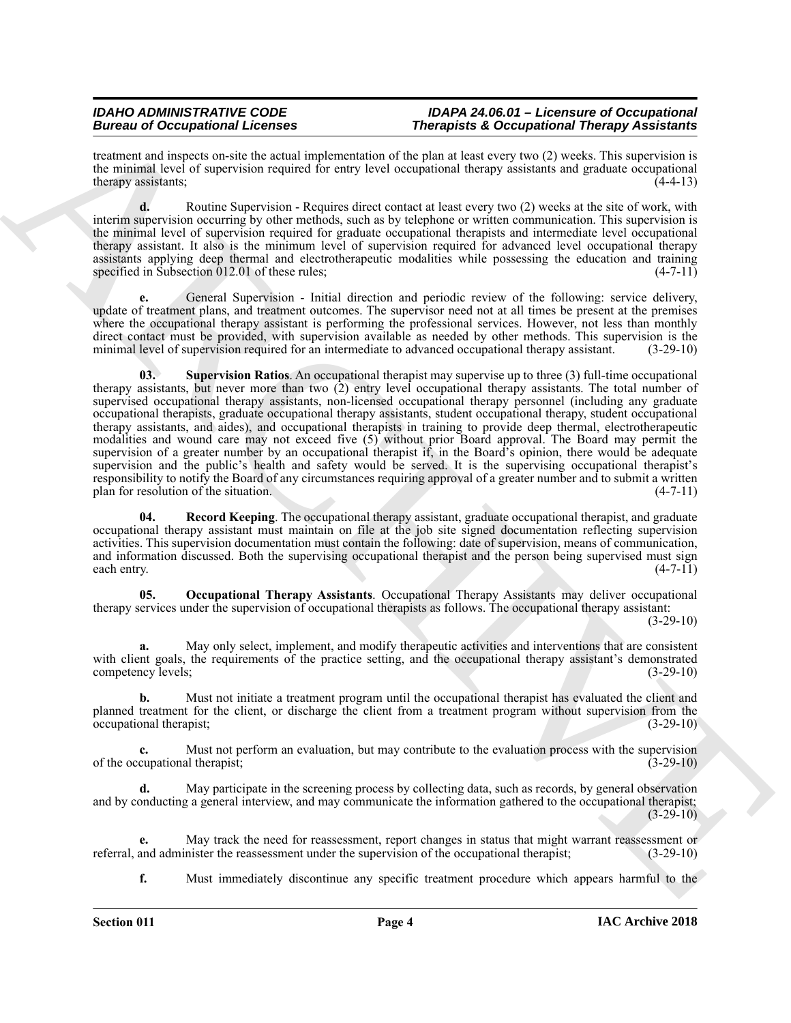treatment and inspects on-site the actual implementation of the plan at least every two (2) weeks. This supervision is the minimal level of supervision required for entry level occupational therapy assistants and graduate occupational therapy assistants. (4-4-13) therapy assistants;

**d.** Routine Supervision - Requires direct contact at least every two (2) weeks at the site of work, with interim supervision occurring by other methods, such as by telephone or written communication. This supervision is the minimal level of supervision required for graduate occupational therapists and intermediate level occupational therapy assistant. It also is the minimum level of supervision required for advanced level occupational therapy assistants applying deep thermal and electrotherapeutic modalities while possessing the education and training specified in Subsection  $\overline{012.01}$  of these rules; (4-7-11)

<span id="page-3-2"></span>**e.** General Supervision - Initial direction and periodic review of the following: service delivery, update of treatment plans, and treatment outcomes. The supervisor need not at all times be present at the premises where the occupational therapy assistant is performing the professional services. However, not less than monthly direct contact must be provided, with supervision available as needed by other methods. This supervision is the minimal level of supervision required for an intermediate to advanced occupational therapy assistant. (3-29-10)

Between 20 Comparison in Leasing states of the proposition of the proposition of the proposition of the system of the system of the system of the system of the system of the system of the system of the system of the syste **03. Supervision Ratios**. An occupational therapist may supervise up to three (3) full-time occupational therapy assistants, but never more than two (2) entry level occupational therapy assistants. The total number of supervised occupational therapy assistants, non-licensed occupational therapy personnel (including any graduate occupational therapists, graduate occupational therapy assistants, student occupational therapy, student occupational therapy assistants, and aides), and occupational therapists in training to provide deep thermal, electrotherapeutic modalities and wound care may not exceed five (5) without prior Board approval. The Board may permit the supervision of a greater number by an occupational therapist if, in the Board's opinion, there would be adequate supervision and the public's health and safety would be served. It is the supervising occupational therapist's responsibility to notify the Board of any circumstances requiring approval of a greater number and to submit a written plan for resolution of the situation. (4-7-11)

<span id="page-3-1"></span>**Record Keeping**. The occupational therapy assistant, graduate occupational therapist, and graduate occupational therapy assistant must maintain on file at the job site signed documentation reflecting supervision activities. This supervision documentation must contain the following: date of supervision, means of communication, and information discussed. Both the supervising occupational therapist and the person being supervised must sign each entry. (4-7-11)

<span id="page-3-0"></span>**05. Occupational Therapy Assistants**. Occupational Therapy Assistants may deliver occupational therapy services under the supervision of occupational therapists as follows. The occupational therapy assistant:

(3-29-10)

**a.** May only select, implement, and modify therapeutic activities and interventions that are consistent with client goals, the requirements of the practice setting, and the occupational therapy assistant's demonstrated competency levels; (3-29-10)

**b.** Must not initiate a treatment program until the occupational therapist has evaluated the client and planned treatment for the client, or discharge the client from a treatment program without supervision from the occupational therapist; (3-29-10)

**c.** Must not perform an evaluation, but may contribute to the evaluation process with the supervision of the occupational therapist; (3-29-10)

May participate in the screening process by collecting data, such as records, by general observation and by conducting a general interview, and may communicate the information gathered to the occupational therapist;  $(3-29-10)$ 

May track the need for reassessment, report changes in status that might warrant reassessment or nister the reassessment under the supervision of the occupational therapist; (3-29-10) referral, and administer the reassessment under the supervision of the occupational therapist;

**f.** Must immediately discontinue any specific treatment procedure which appears harmful to the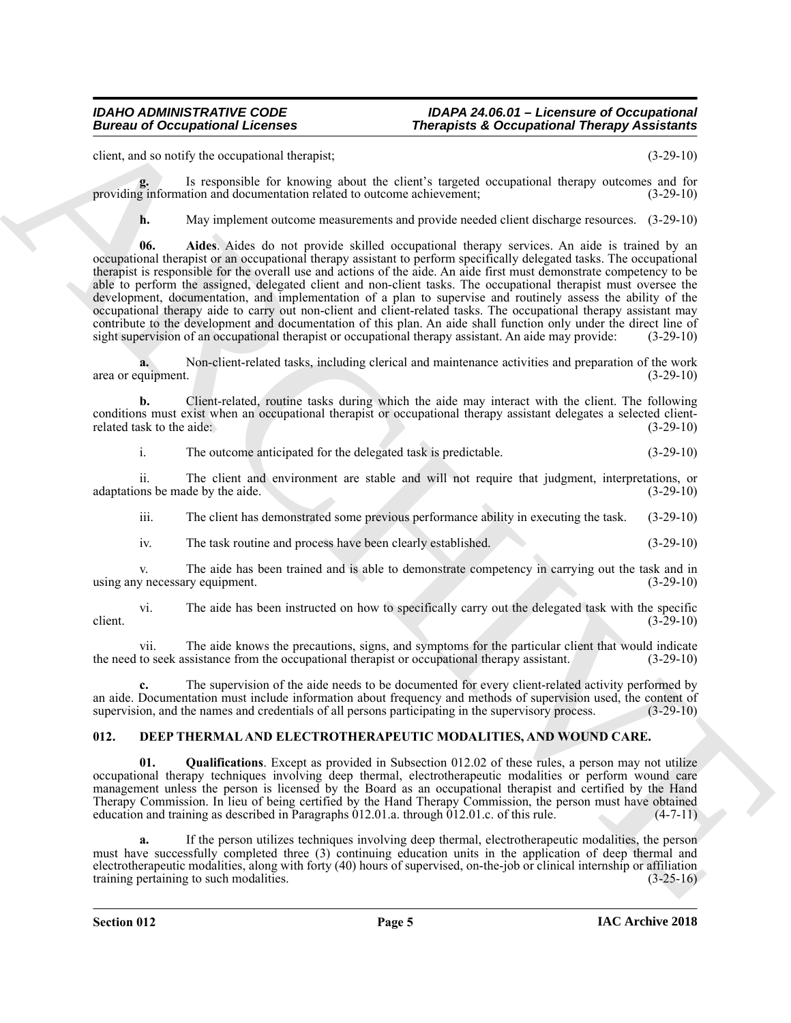client, and so notify the occupational therapist; (3-29-10)

Is responsible for knowing about the client's targeted occupational therapy outcomes and for tion and documentation related to outcome achievement: (3-29-10) providing information and documentation related to outcome achievement;

<span id="page-4-3"></span>**h.** May implement outcome measurements and provide needed client discharge resources.  $(3-29-10)$ 

Bureau of Occupational Licenses<br>
Since  $\eta$  and the state of the state of the state of the state of the state of the state of the state of the state of the state of the state of the state of the state of the state of the **06. Aides**. Aides do not provide skilled occupational therapy services. An aide is trained by an occupational therapist or an occupational therapy assistant to perform specifically delegated tasks. The occupational therapist is responsible for the overall use and actions of the aide. An aide first must demonstrate competency to be able to perform the assigned, delegated client and non-client tasks. The occupational therapist must oversee the development, documentation, and implementation of a plan to supervise and routinely assess the ability of the occupational therapy aide to carry out non-client and client-related tasks. The occupational therapy assistant may contribute to the development and documentation of this plan. An aide shall function only under the direct line of sight supervision of an occupational therapist or occupational therapy assistant. An aide may provide: (3-29-10)

**a.** Non-client-related tasks, including clerical and maintenance activities and preparation of the work area or equipment. (3-29-10)

**b.** Client-related, routine tasks during which the aide may interact with the client. The following conditions must exist when an occupational therapist or occupational therapy assistant delegates a selected client-<br>related task to the aide: (3-29-10) related task to the aide:

i. The outcome anticipated for the delegated task is predictable. (3-29-10)

ii. The client and environment are stable and will not require that judgment, interpretations, or adaptations be made by the aide. (3-29-10)  $(3-29-10)$ 

iii. The client has demonstrated some previous performance ability in executing the task. (3-29-10)

iv. The task routine and process have been clearly established. (3-29-10)

v. The aide has been trained and is able to demonstrate competency in carrying out the task and in using any necessary equipment. (3-29-10)

vi. The aide has been instructed on how to specifically carry out the delegated task with the specific client.  $(3-29-10)$ 

vii. The aide knows the precautions, signs, and symptoms for the particular client that would indicate to seek assistance from the occupational therapist or occupational therapy assistant. (3-29-10) the need to seek assistance from the occupational therapist or occupational therapy assistant.

**c.** The supervision of the aide needs to be documented for every client-related activity performed by an aide. Documentation must include information about frequency and methods of supervision used, the content of supervision, and the names and credentials of all persons participating in the supervisiony process. (3-29-10) supervision, and the names and credentials of all persons participating in the supervisory process.

# <span id="page-4-1"></span><span id="page-4-0"></span>**012. DEEP THERMAL AND ELECTROTHERAPEUTIC MODALITIES, AND WOUND CARE.**

<span id="page-4-2"></span>**01. Qualifications**. Except as provided in Subsection 012.02 of these rules, a person may not utilize occupational therapy techniques involving deep thermal, electrotherapeutic modalities or perform wound care management unless the person is licensed by the Board as an occupational therapist and certified by the Hand Therapy Commission. In lieu of being certified by the Hand Therapy Commission, the person must have obtained education and training as described in Paragraphs 012.01.a. through 012.01.c. of this rule. (4-7-11)

**a.** If the person utilizes techniques involving deep thermal, electrotherapeutic modalities, the person must have successfully completed three (3) continuing education units in the application of deep thermal and electrotherapeutic modalities, along with forty (40) hours of supervised, on-the-job or clinical internship or affiliation training pertaining to such modalities.  $(3-25-16)$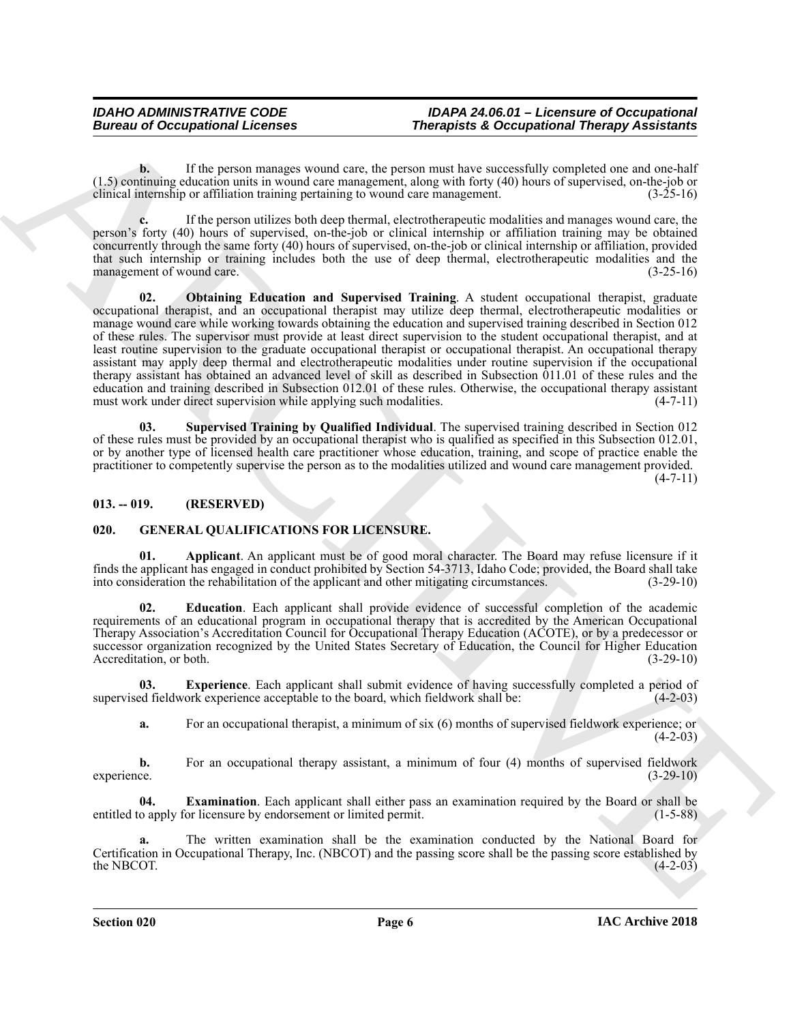**b.** If the person manages wound care, the person must have successfully completed one and one-half (1.5) continuing education units in wound care management, along with forty (40) hours of supervised, on-the-job or clinical internship or affiliation training pertaining to wound care management.

<span id="page-5-2"></span>**c.** If the person utilizes both deep thermal, electrotherapeutic modalities and manages wound care, the person's forty (40) hours of supervised, on-the-job or clinical internship or affiliation training may be obtained concurrently through the same forty (40) hours of supervised, on-the-job or clinical internship or affiliation, provided that such internship or training includes both the use of deep thermal, electrotherapeutic modalities and the management of wound care. (3-25-16)

Bureau of Occupational Leonies<br>
(A) Life procedure and service productions the system and how exceptional Theoretical System and the system of the system and how exceptional control or and order the system of the system a **02. Obtaining Education and Supervised Training**. A student occupational therapist, graduate occupational therapist, and an occupational therapist may utilize deep thermal, electrotherapeutic modalities or manage wound care while working towards obtaining the education and supervised training described in Section 012 of these rules. The supervisor must provide at least direct supervision to the student occupational therapist, and at least routine supervision to the graduate occupational therapist or occupational therapist. An occupational therapy assistant may apply deep thermal and electrotherapeutic modalities under routine supervision if the occupational therapy assistant has obtained an advanced level of skill as described in Subsection 011.01 of these rules and the education and training described in Subsection 012.01 of these rules. Otherwise, the occupational therapy assistant must work under direct supervision while applying such modalities. (4-7-11)

<span id="page-5-3"></span>**03. Supervised Training by Qualified Individual**. The supervised training described in Section 012 of these rules must be provided by an occupational therapist who is qualified as specified in this Subsection 012.01, or by another type of licensed health care practitioner whose education, training, and scope of practice enable the practitioner to competently supervise the person as to the modalities utilized and wound care management provided.

 $(4 - 7 - 11)$ 

### <span id="page-5-0"></span>**013. -- 019. (RESERVED)**

# <span id="page-5-4"></span><span id="page-5-1"></span>**020. GENERAL QUALIFICATIONS FOR LICENSURE.**

<span id="page-5-5"></span>**01. Applicant**. An applicant must be of good moral character. The Board may refuse licensure if it finds the applicant has engaged in conduct prohibited by Section 54-3713, Idaho Code; provided, the Board shall take into consideration the rehabilitation of the applicant and other mitigating circumstances. (3-29-10)

<span id="page-5-6"></span>**02. Education**. Each applicant shall provide evidence of successful completion of the academic requirements of an educational program in occupational therapy that is accredited by the American Occupational Therapy Association's Accreditation Council for Occupational Therapy Education (ACOTE), or by a predecessor or successor organization recognized by the United States Secretary of Education, the Council for Higher Education<br>(3-29-10) (3-29-10) Accreditation, or both.

**03. Experience**. Each applicant shall submit evidence of having successfully completed a period of supervised fieldwork experience acceptable to the board, which fieldwork shall be: (4-2-03)

<span id="page-5-8"></span><span id="page-5-7"></span>**a.** For an occupational therapist, a minimum of six (6) months of supervised fieldwork experience; or  $(4-2-03)$ 

**b.** For an occupational therapy assistant, a minimum of four (4) months of supervised fieldwork experience. (3-29-10) experience. (3-29-10)

**04. Examination**. Each applicant shall either pass an examination required by the Board or shall be entitled to apply for licensure by endorsement or limited permit. (1-5-88)

**a.** The written examination shall be the examination conducted by the National Board for Certification in Occupational Therapy, Inc. (NBCOT) and the passing score shall be the passing score established by the NBCOT.  $(4-2-03)$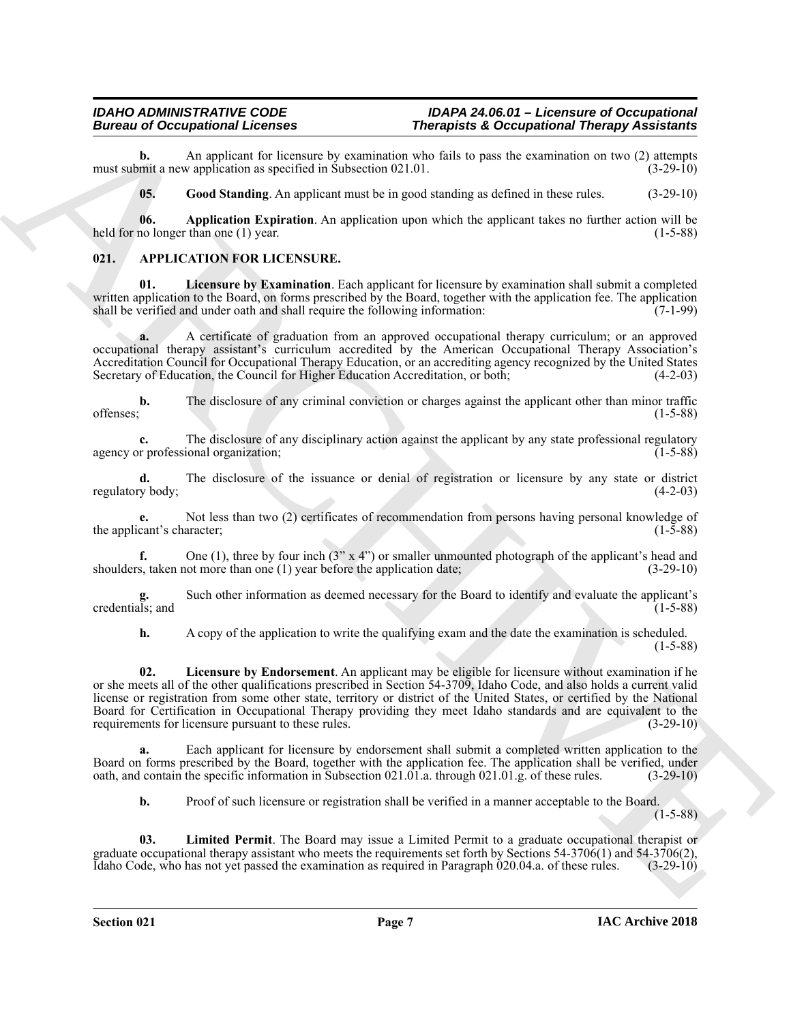An applicant for licensure by examination who fails to pass the examination on two (2) attempts v application as specified in Subsection 021.01. (3-29-10) must submit a new application as specified in Subsection 021.01.

<span id="page-6-6"></span><span id="page-6-5"></span>**05. Good Standing**. An applicant must be in good standing as defined in these rules. (3-29-10)

**06. Application Expiration**. An application upon which the applicant takes no further action will be no longer than one (1) year. held for no longer than one  $(1)$  year.

# <span id="page-6-1"></span><span id="page-6-0"></span>**021. APPLICATION FOR LICENSURE.**

<span id="page-6-3"></span>**01. Licensure by Examination**. Each applicant for licensure by examination shall submit a completed written application to the Board, on forms prescribed by the Board, together with the application fee. The application shall be verified and under oath and shall require the following information: (7-1-99) shall be verified and under oath and shall require the following information:

**a.** A certificate of graduation from an approved occupational therapy curriculum; or an approved occupational therapy assistant's curriculum accredited by the American Occupational Therapy Association's Accreditation Council for Occupational Therapy Education, or an accrediting agency recognized by the United States Secretary of Education, the Council for Higher Education Accreditation, or both; (4-2-03)

**b.** The disclosure of any criminal conviction or charges against the applicant other than minor traffic offenses; (1-5-88)

**c.** The disclosure of any disciplinary action against the applicant by any state professional regulatory agency or professional organization;  $(1-5-88)$ 

**d.** The disclosure of the issuance or denial of registration or licensure by any state or district regulatory body; (4-2-03)

**e.** Not less than two (2) certificates of recommendation from persons having personal knowledge of the applicant's character; (1-5-88) (1-5-88)

**f.** One (1), three by four inch  $(3'' \times 4'')$  or smaller unmounted photograph of the applicant's head and shoulders, taken not more than one (1) year before the application date; (3-29-10)

**g.** Such other information as deemed necessary for the Board to identify and evaluate the applicant's credentials; and (1-5-88)

<span id="page-6-2"></span>**h.** A copy of the application to write the qualifying exam and the date the examination is scheduled.

(1-5-88)

Bureau of Occupation of Lemonta by sometimes of Decemptional Theorem S. 2011 and the same location at the same location of the same location of the same location of the same location of the same location of the same locat **02. Licensure by Endorsement**. An applicant may be eligible for licensure without examination if he or she meets all of the other qualifications prescribed in Section 54-3709, Idaho Code, and also holds a current valid license or registration from some other state, territory or district of the United States, or certified by the National Board for Certification in Occupational Therapy providing they meet Idaho standards and are equivalent to the requirements for licensure pursuant to these rules. (3-29-10)

Each applicant for licensure by endorsement shall submit a completed written application to the Board on forms prescribed by the Board, together with the application fee. The application shall be verified, under oath, and contain the specific information in Subsection 021.01.a. through 021.01.g. of these rules. (3-29-10)

<span id="page-6-4"></span>**b.** Proof of such licensure or registration shall be verified in a manner acceptable to the Board.

 $(1-5-88)$ 

**03. Limited Permit**. The Board may issue a Limited Permit to a graduate occupational therapist or graduate occupational therapy assistant who meets the requirements set forth by Sections 54-3706(1) and 54-3706(2), Idaho Code, who has not yet passed the examination as required in Paragraph 020.04.a. of these rules. (3-29-10)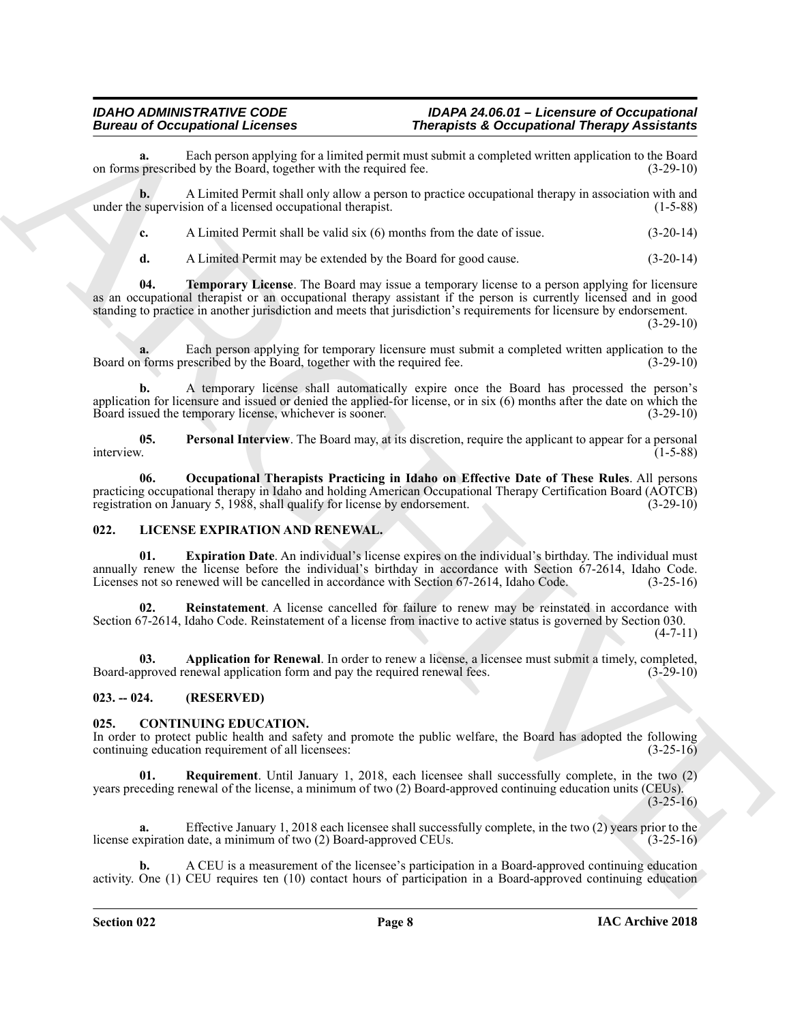**a.** Each person applying for a limited permit must submit a completed written application to the Board prescribed by the Board, together with the required fee. (3-29-10) on forms prescribed by the Board, together with the required fee.

**b.** A Limited Permit shall only allow a person to practice occupational therapy in association with and under the supervision of a licensed occupational therapist. (1-5-88)

**c.** A Limited Permit shall be valid six (6) months from the date of issue. (3-20-14)

<span id="page-7-5"></span>**d.** A Limited Permit may be extended by the Board for good cause. (3-20-14)

**04. Temporary License**. The Board may issue a temporary license to a person applying for licensure as an occupational therapist or an occupational therapy assistant if the person is currently licensed and in good standing to practice in another jurisdiction and meets that jurisdiction's requirements for licensure by endorsement.

 $(3-29-10)$ 

**a.** Each person applying for temporary licensure must submit a completed written application to the forms prescribed by the Board, together with the required fee.  $(3-29-10)$ Board on forms prescribed by the Board, together with the required fee.

**b.** A temporary license shall automatically expire once the Board has processed the person's application for licensure and issued or denied the applied-for license, or in six (6) months after the date on which the Board issued the temporary license, whichever is sooner. (3-29-10)

<span id="page-7-4"></span><span id="page-7-3"></span>**05. Personal Interview**. The Board may, at its discretion, require the applicant to appear for a personal interview. (1-5-88)

Bureau of Occupation and replacement is the specific of December of Theorem and the specific of the specific or the specific or the specific or the specific or the specific or the specific or the specific or the specific **06. Occupational Therapists Practicing in Idaho on Effective Date of These Rules**. All persons practicing occupational therapy in Idaho and holding American Occupational Therapy Certification Board (AOTCB) registration on January 5, 1988, shall qualify for license by endorsement. (3-29-10)

# <span id="page-7-8"></span><span id="page-7-0"></span>**022. LICENSE EXPIRATION AND RENEWAL.**

<span id="page-7-10"></span>**01. Expiration Date**. An individual's license expires on the individual's birthday. The individual must annually renew the license before the individual's birthday in accordance with Section 67-2614, Idaho Code. Licenses not so renewed will be cancelled in accordance with Section 67-2614, Idaho Code. (3-25-16)

<span id="page-7-11"></span>**02. Reinstatement**. A license cancelled for failure to renew may be reinstated in accordance with Section 67-2614, Idaho Code. Reinstatement of a license from inactive to active status is governed by Section 030.  $(4 - 7 - 11)$ 

<span id="page-7-9"></span>**03. Application for Renewal**. In order to renew a license, a licensee must submit a timely, completed, Board-approved renewal application form and pay the required renewal fees. (3-29-10)

# <span id="page-7-1"></span>**023. -- 024. (RESERVED)**

### <span id="page-7-6"></span><span id="page-7-2"></span>**025. CONTINUING EDUCATION.**

In order to protect public health and safety and promote the public welfare, the Board has adopted the following continuing education requirement of all licensees: (3-25-16)

<span id="page-7-7"></span>**01. Requirement**. Until January 1, 2018, each licensee shall successfully complete, in the two (2) years preceding renewal of the license, a minimum of two (2) Board-approved continuing education units (CEUs).  $(3-25-16)$ 

**a.** Effective January 1, 2018 each licensee shall successfully complete, in the two (2) years prior to the license expiration date, a minimum of two (2) Board-approved CEUs. (3-25-16)

**b.** A CEU is a measurement of the licensee's participation in a Board-approved continuing education activity. One (1) CEU requires ten (10) contact hours of participation in a Board-approved continuing education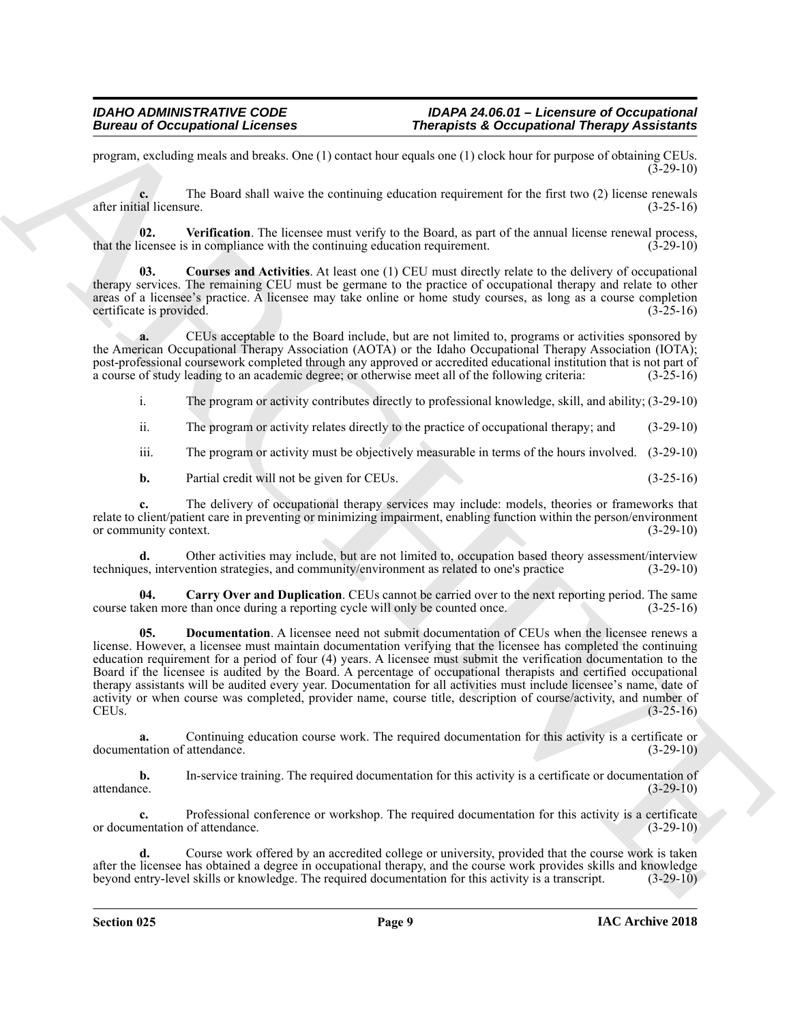program, excluding meals and breaks. One (1) contact hour equals one (1) clock hour for purpose of obtaining CEUs.  $(3 - 29 - 10)$ 

**c.** The Board shall waive the continuing education requirement for the first two (2) license renewals after initial licensure. (3-25-16)

<span id="page-8-3"></span>**02.** Verification. The licensee must verify to the Board, as part of the annual license renewal process, icensee is in compliance with the continuing education requirement. (3-29-10) that the licensee is in compliance with the continuing education requirement.

<span id="page-8-1"></span>**03. Courses and Activities**. At least one (1) CEU must directly relate to the delivery of occupational therapy services. The remaining CEU must be germane to the practice of occupational therapy and relate to other areas of a licensee's practice. A licensee may take online or home study courses, as long as a course completion certificate is provided.  $(3-25-16)$ certificate is provided.

**a.** CEUs acceptable to the Board include, but are not limited to, programs or activities sponsored by the American Occupational Therapy Association (AOTA) or the Idaho Occupational Therapy Association (IOTA); post-professional coursework completed through any approved or accredited educational institution that is not part of a course of study leading to an academic degree; or otherwise meet all of the following criteria: (3-25-16)

i. The program or activity contributes directly to professional knowledge, skill, and ability; (3-29-10)

ii. The program or activity relates directly to the practice of occupational therapy; and (3-29-10)

iii. The program or activity must be objectively measurable in terms of the hours involved. (3-29-10)

**b.** Partial credit will not be given for CEUs. (3-25-16)

**c.** The delivery of occupational therapy services may include: models, theories or frameworks that relate to client/patient care in preventing or minimizing impairment, enabling function within the person/environment or community context. (3-29-10)

**d.** Other activities may include, but are not limited to, occupation based theory assessment/interview techniques, intervention strategies, and community/environment as related to one's practice (3-29-10)

<span id="page-8-2"></span><span id="page-8-0"></span>**04.** Carry Over and Duplication. CEUs cannot be carried over to the next reporting period. The same ken more than once during a reporting cycle will only be counted once. (3-25-16) course taken more than once during a reporting cycle will only be counted once.

Bureau of Occupational Licenses<br>
Theophysical Cocapational Licenses<br>
program can be solved that the state last equivalent state last equivalent state in the state of the state of<br>
and the Bureau scheme of the solution of **05. Documentation**. A licensee need not submit documentation of CEUs when the licensee renews a license. However, a licensee must maintain documentation verifying that the licensee has completed the continuing education requirement for a period of four (4) years. A licensee must submit the verification documentation to the Board if the licensee is audited by the Board. A percentage of occupational therapists and certified occupational therapy assistants will be audited every year. Documentation for all activities must include licensee's name, date of activity or when course was completed, provider name, course title, description of course/activity, and number of CEUs. (3-25-16) CEUs.  $(3-25-16)$ 

**a.** Continuing education course work. The required documentation for this activity is a certificate or documentation of attendance. (3-29-10)

**b.** In-service training. The required documentation for this activity is a certificate or documentation of attendance.  $(3-29-10)$ attendance. (3-29-10)

**c.** Professional conference or workshop. The required documentation for this activity is a certificate or documentation of attendance. (3-29-10)

**d.** Course work offered by an accredited college or university, provided that the course work is taken after the licensee has obtained a degree in occupational therapy, and the course work provides skills and knowledge beyond entry-level skills or knowledge. The required documentation for this activity is a transcript. (3-29-10)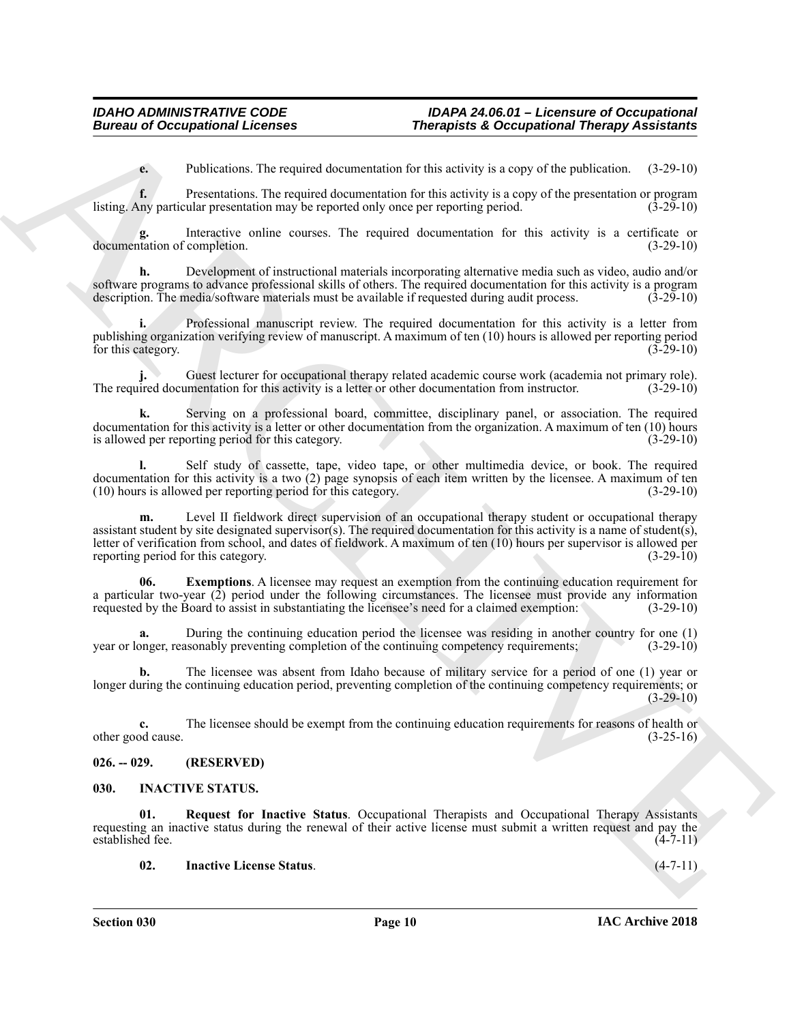**e.** Publications. The required documentation for this activity is a copy of the publication. (3-29-10)

**f.** Presentations. The required documentation for this activity is a copy of the presentation or program ny particular presentation may be reported only once per reporting period. (3-29-10) listing. Any particular presentation may be reported only once per reporting period.

Interactive online courses. The required documentation for this activity is a certificate or completion. (3-29-10) documentation of completion.

**h.** Development of instructional materials incorporating alternative media such as video, audio and/or software programs to advance professional skills of others. The required documentation for this activity is a program description. The media/software materials must be available if requested during audit process. (3-29-10)

**i.** Professional manuscript review. The required documentation for this activity is a letter from publishing organization verifying review of manuscript. A maximum of ten (10) hours is allowed per reporting period for this category.

**j.** Guest lecturer for occupational therapy related academic course work (academia not primary role). The required documentation for this activity is a letter or other documentation from instructor. (3-29-10)

**k.** Serving on a professional board, committee, disciplinary panel, or association. The required documentation for this activity is a letter or other documentation from the organization. A maximum of ten (10) hours<br>is allowed per reporting period for this category. is allowed per reporting period for this category.

**l.** Self study of cassette, tape, video tape, or other multimedia device, or book. The required documentation for this activity is a two (2) page synopsis of each item written by the licensee. A maximum of ten (10) hours is allowed per reporting period for this category. (3-29-10)

Bureau of Occupational Licences<br>
(Compatitional Theoretical Metallican Compatibility of the ratio is a covered on the matrix is a control of the matrix of the matrix of the matrix of the matrix of the matrix of the matrix Level II fieldwork direct supervision of an occupational therapy student or occupational therapy assistant student by site designated supervisor(s). The required documentation for this activity is a name of student(s), letter of verification from school, and dates of fieldwork. A maximum of ten (10) hours per supervisor is allowed per reporting period for this category.

<span id="page-9-2"></span>**06. Exemptions**. A licensee may request an exemption from the continuing education requirement for a particular two-year (2) period under the following circumstances. The licensee must provide any information requested by the Board to assist in substantiating the licensee's need for a claimed exemption: (3-29-10)

**a.** During the continuing education period the licensee was residing in another country for one (1) year or longer, reasonably preventing completion of the continuing competency requirements; (3-29-10)

**b.** The licensee was absent from Idaho because of military service for a period of one (1) year or longer during the continuing education period, preventing completion of the continuing competency requirements; or (3-29-10)

**c.** The licensee should be exempt from the continuing education requirements for reasons of health or od cause.  $(3-25-16)$ other good cause.

# <span id="page-9-0"></span>**026. -- 029. (RESERVED)**

# <span id="page-9-3"></span><span id="page-9-1"></span>**030. INACTIVE STATUS.**

**01. Request for Inactive Status**. Occupational Therapists and Occupational Therapy Assistants requesting an inactive status during the renewal of their active license must submit a written request and pay the established fee. (4-7-11)

<span id="page-9-5"></span><span id="page-9-4"></span>**02. Inactive License Status**. (4-7-11)

**Section 030 Page 10**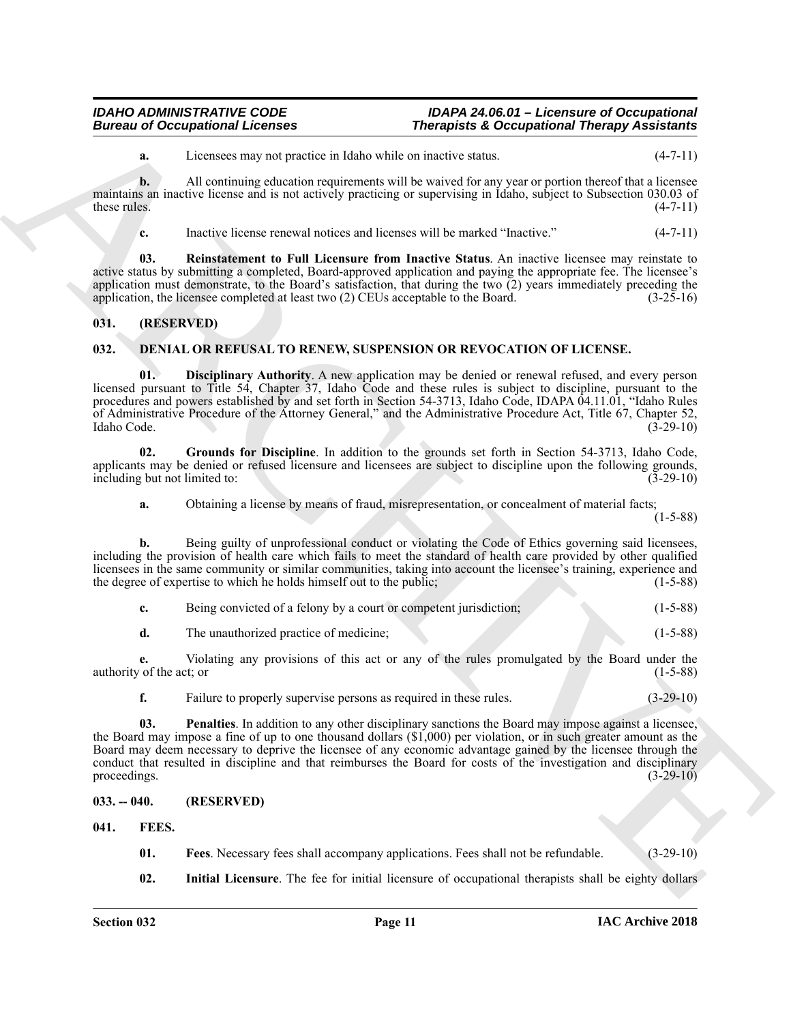**a.** Licensees may not practice in Idaho while on inactive status. (4-7-11)

**b.** All continuing education requirements will be waived for any year or portion thereof that a licensee maintains an inactive license and is not actively practicing or supervising in Idaho, subject to Subsection 030.03 of these rules.  $(4-7-11)$ 

<span id="page-10-11"></span>**c.** Inactive license renewal notices and licenses will be marked "Inactive." (4-7-11)

**03. Reinstatement to Full Licensure from Inactive Status**. An inactive licensee may reinstate to active status by submitting a completed, Board-approved application and paying the appropriate fee. The licensee's application must demonstrate, to the Board's satisfaction, that during the two (2) years immediately preceding the application, the licensee completed at least two  $(2)$  CEUs acceptable to the Board.  $(3-25-16)$ 

# <span id="page-10-0"></span>**031. (RESERVED)**

# <span id="page-10-4"></span><span id="page-10-1"></span>**032. DENIAL OR REFUSAL TO RENEW, SUSPENSION OR REVOCATION OF LICENSE.**

<span id="page-10-5"></span>**01. Disciplinary Authority**. A new application may be denied or renewal refused, and every person licensed pursuant to Title 54, Chapter 37, Idaho Code and these rules is subject to discipline, pursuant to the procedures and powers established by and set forth in Section 54-3713, Idaho Code, IDAPA 04.11.01, "Idaho Rules of Administrative Procedure of the Attorney General," and the Administrative Procedure Act, Title 67, Chapter 52, Idaho Code. (3-29-10)

**02. Grounds for Discipline**. In addition to the grounds set forth in Section 54-3713, Idaho Code, applicants may be denied or refused licensure and licensees are subject to discipline upon the following grounds, including but not limited to: (3-29-10) including but not limited to:

<span id="page-10-6"></span>**a.** Obtaining a license by means of fraud, misrepresentation, or concealment of material facts;

(1-5-88)

**b.** Being guilty of unprofessional conduct or violating the Code of Ethics governing said licensees, including the provision of health care which fails to meet the standard of health care provided by other qualified licensees in the same community or similar communities, taking into account the licensee's training, experience and the degree of expertise to which he holds himself out to the public; (1-5-88)

| Being convicted of a felony by a court or competent jurisdiction; | $(1-5-88)$ |            |
|-------------------------------------------------------------------|------------|------------|
| The unauthorized practice of medicine;                            |            | $(1-5-88)$ |

**e.** Violating any provisions of this act or any of the rules promulgated by the Board under the authority of the act; or  $(1-5-88)$ 

<span id="page-10-7"></span>**f.** Failure to properly supervise persons as required in these rules.  $(3-29-10)$ 

Bureau of Occupational Licenses<br>
Archives of the consistency of the consistency of the consistency of the consistency of the consistency of the state of the state of the state of the state of the state of the state of the **03. Penalties**. In addition to any other disciplinary sanctions the Board may impose against a licensee, the Board may impose a fine of up to one thousand dollars (\$1,000) per violation, or in such greater amount as the Board may deem necessary to deprive the licensee of any economic advantage gained by the licensee through the conduct that resulted in discipline and that reimburses the Board for costs of the investigation and disciplinary proceedings.  $(3-29-10)$ 

# <span id="page-10-2"></span>**033. -- 040. (RESERVED)**

<span id="page-10-3"></span>**041. FEES.**

- <span id="page-10-9"></span><span id="page-10-8"></span>**01. Fees**. Necessary fees shall accompany applications. Fees shall not be refundable. (3-29-10)
- <span id="page-10-10"></span>**02. Initial Licensure**. The fee for initial licensure of occupational therapists shall be eighty dollars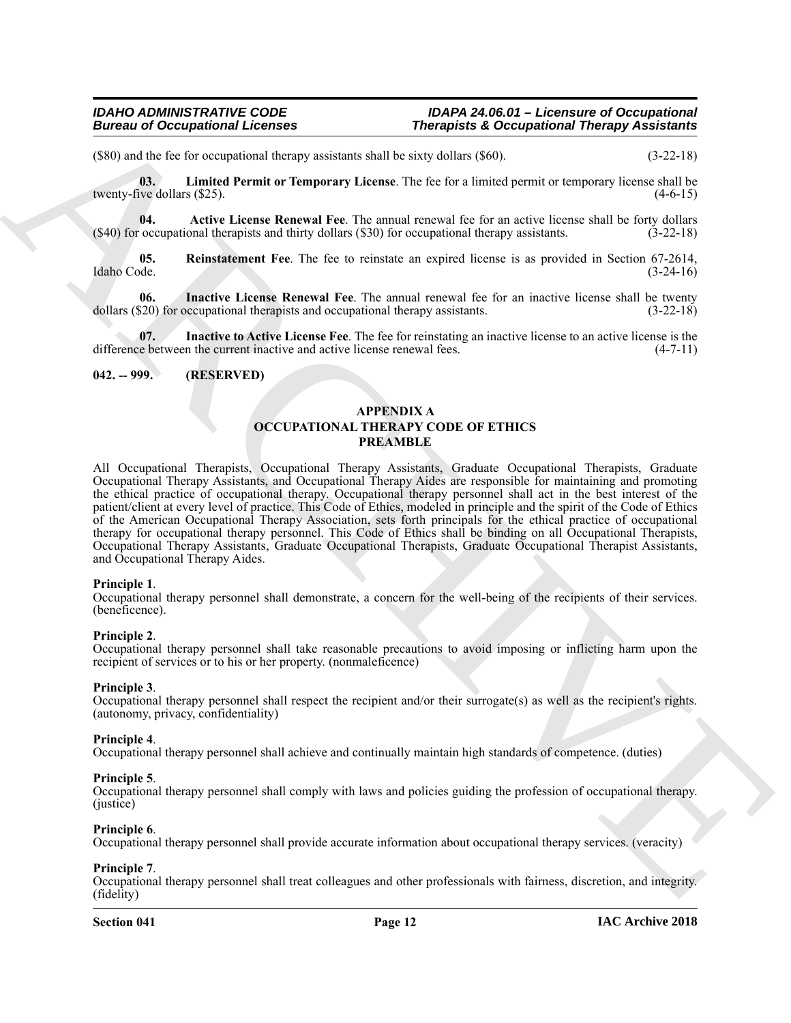(\$80) and the fee for occupational therapy assistants shall be sixty dollars (\$60). (3-22-18)

<span id="page-11-5"></span>**03. Limited Permit or Temporary License**. The fee for a limited permit or temporary license shall be twenty-five dollars (\$25). (4-6-15)

<span id="page-11-2"></span>**04. Active License Renewal Fee**. The annual renewal fee for an active license shall be forty dollars cocupational therapists and thirty dollars (\$30) for occupational therapy assistants. (3-22-18)  $($ \$40) for occupational therapists and thirty dollars  $($ \$30) for occupational therapy assistants.

<span id="page-11-6"></span>**05.** Reinstatement Fee. The fee to reinstate an expired license is as provided in Section 67-2614, Idaho Code. (3-24-16) Idaho Code. (3-24-16)

<span id="page-11-3"></span>**06.** Inactive License Renewal Fee. The annual renewal fee for an inactive license shall be twenty (3-22-18) (3-22-18) dollars (\$20) for occupational therapists and occupational therapy assistants.

<span id="page-11-4"></span>**07. Inactive to Active License Fee**. The fee for reinstating an inactive license to an active license is the difference between the current inactive and active license renewal fees. (4-7-11)

#### <span id="page-11-0"></span>**042. -- 999. (RESERVED)**

# <span id="page-11-1"></span>**APPENDIX A OCCUPATIONAL THERAPY CODE OF ETHICS PREAMBLE**

Europa of Occupational Licenses<br>
Solutional Theoretical Theoretical Theoretical Solution (Section 1997)<br>
Notice that the computer of the state of the state of the state of the state of the state of the state of the state All Occupational Therapists, Occupational Therapy Assistants, Graduate Occupational Therapists, Graduate Occupational Therapy Assistants, and Occupational Therapy Aides are responsible for maintaining and promoting the ethical practice of occupational therapy. Occupational therapy personnel shall act in the best interest of the patient/client at every level of practice. This Code of Ethics, modeled in principle and the spirit of the Code of Ethics of the American Occupational Therapy Association, sets forth principals for the ethical practice of occupational therapy for occupational therapy personnel. This Code of Ethics shall be binding on all Occupational Therapists, Occupational Therapy Assistants, Graduate Occupational Therapists, Graduate Occupational Therapist Assistants, and Occupational Therapy Aides.

#### **Principle 1**.

Occupational therapy personnel shall demonstrate, a concern for the well-being of the recipients of their services. (beneficence).

#### **Principle 2**.

Occupational therapy personnel shall take reasonable precautions to avoid imposing or inflicting harm upon the recipient of services or to his or her property. (nonmaleficence)

#### **Principle 3**.

Occupational therapy personnel shall respect the recipient and/or their surrogate(s) as well as the recipient's rights. (autonomy, privacy, confidentiality)

#### **Principle 4**.

Occupational therapy personnel shall achieve and continually maintain high standards of competence. (duties)

#### **Principle 5**.

Occupational therapy personnel shall comply with laws and policies guiding the profession of occupational therapy. (justice)

#### **Principle 6**.

Occupational therapy personnel shall provide accurate information about occupational therapy services. (veracity)

**Principle 7.**<br>Occupational therapy personnel shall treat colleagues and other professionals with fairness, discretion, and integrity. (fidelity)

#### **Section 041 Page 12**